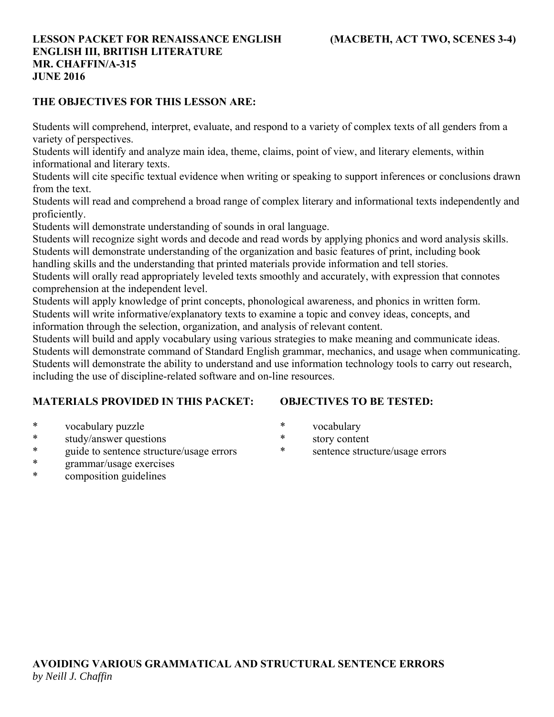### **THE OBJECTIVES FOR THIS LESSON ARE:**

Students will comprehend, interpret, evaluate, and respond to a variety of complex texts of all genders from a variety of perspectives.

Students will identify and analyze main idea, theme, claims, point of view, and literary elements, within informational and literary texts.

Students will cite specific textual evidence when writing or speaking to support inferences or conclusions drawn from the text.

Students will read and comprehend a broad range of complex literary and informational texts independently and proficiently.

Students will demonstrate understanding of sounds in oral language.

Students will recognize sight words and decode and read words by applying phonics and word analysis skills. Students will demonstrate understanding of the organization and basic features of print, including book

handling skills and the understanding that printed materials provide information and tell stories.

Students will orally read appropriately leveled texts smoothly and accurately, with expression that connotes comprehension at the independent level.

Students will apply knowledge of print concepts, phonological awareness, and phonics in written form. Students will write informative/explanatory texts to examine a topic and convey ideas, concepts, and information through the selection, organization, and analysis of relevant content.

Students will build and apply vocabulary using various strategies to make meaning and communicate ideas. Students will demonstrate command of Standard English grammar, mechanics, and usage when communicating. Students will demonstrate the ability to understand and use information technology tools to carry out research, including the use of discipline-related software and on-line resources.

# **MATERIALS PROVIDED IN THIS PACKET:**

# **OBJECTIVES TO BE TESTED:**

- \* vocabulary puzzle
- \* study/answer questions
- \* guide to sentence structure/usage errors
- \* grammar/usage exercises
- \* composition guidelines
- \* vocabulary
- \* story content
- \* sentence structure/usage errors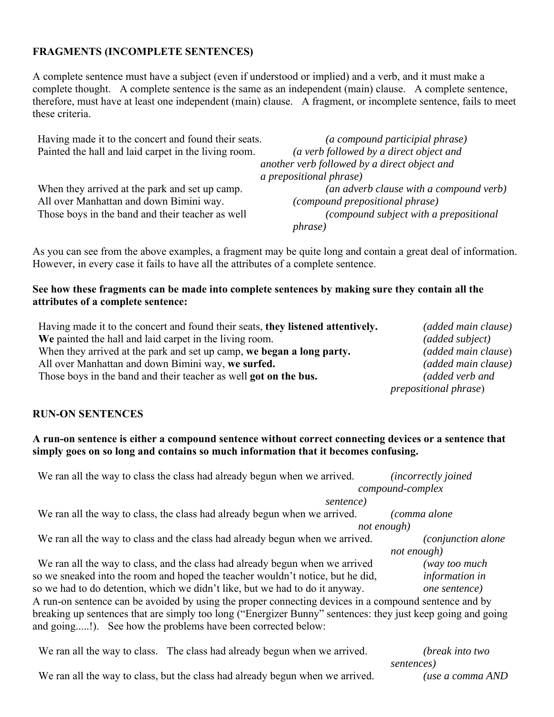### **FRAGMENTS (INCOMPLETE SENTENCES)**

A complete sentence must have a subject (even if understood or implied) and a verb, and it must make a complete thought. A complete sentence is the same as an independent (main) clause. A complete sentence, therefore, must have at least one independent (main) clause. A fragment, or incomplete sentence, fails to meet these criteria.

| Having made it to the concert and found their seats. | (a compound participial phrase)              |
|------------------------------------------------------|----------------------------------------------|
| Painted the hall and laid carpet in the living room. | (a verb followed by a direct object and      |
|                                                      | another verb followed by a direct object and |
|                                                      | <i>a prepositional phrase</i> )              |
| When they arrived at the park and set up camp.       | (an adverb clause with a compound verb)      |
| All over Manhattan and down Bimini way.              | (compound prepositional phrase)              |
| Those boys in the band and their teacher as well     | (compound subject with a prepositional       |
|                                                      | <i>phrase</i> )                              |

As you can see from the above examples, a fragment may be quite long and contain a great deal of information. However, in every case it fails to have all the attributes of a complete sentence.

### **See how these fragments can be made into complete sentences by making sure they contain all the attributes of a complete sentence:**

| Having made it to the concert and found their seats, they listened attentively. | <i>(added main clause)</i>    |
|---------------------------------------------------------------------------------|-------------------------------|
| We painted the hall and laid carpet in the living room.                         | (added subject)               |
| When they arrived at the park and set up camp, we began a long party.           | (added main clause)           |
| All over Manhattan and down Bimini way, we surfed.                              | <i>(added main clause)</i>    |
| Those boys in the band and their teacher as well got on the bus.                | (added verb and               |
|                                                                                 | <i>prepositional phrase</i> ) |

#### **RUN-ON SENTENCES**

### **A run-on sentence is either a compound sentence without correct connecting devices or a sentence that simply goes on so long and contains so much information that it becomes confusing.**

| We ran all the way to class the class had already begun when we arrived.                                    | (incorrectly joined         |
|-------------------------------------------------------------------------------------------------------------|-----------------------------|
|                                                                                                             | compound-complex            |
| sentence)                                                                                                   |                             |
| We ran all the way to class, the class had already begun when we arrived.                                   | (comma alone                |
|                                                                                                             | not enough)                 |
| We ran all the way to class and the class had already begun when we arrived.                                | <i>(conjunction alone</i> ) |
|                                                                                                             | not enough)                 |
| We ran all the way to class, and the class had already begun when we arrived                                | (way too much               |
| so we sneaked into the room and hoped the teacher wouldn't notice, but he did,                              | information in              |
| so we had to do detention, which we didn't like, but we had to do it anyway.                                | one sentence)               |
| A run-on sentence can be avoided by using the proper connecting devices in a compound sentence and by       |                             |
| breaking up sentences that are simply too long ("Energizer Bunny" sentences: they just keep going and going |                             |
| and going!). See how the problems have been corrected below:                                                |                             |
|                                                                                                             |                             |

| We ran all the way to class. The class had already begun when we arrived.     | ( <i>break into two</i> |
|-------------------------------------------------------------------------------|-------------------------|
|                                                                               | sentences)              |
| We ran all the way to class, but the class had already begun when we arrived. | (use a comma AND        |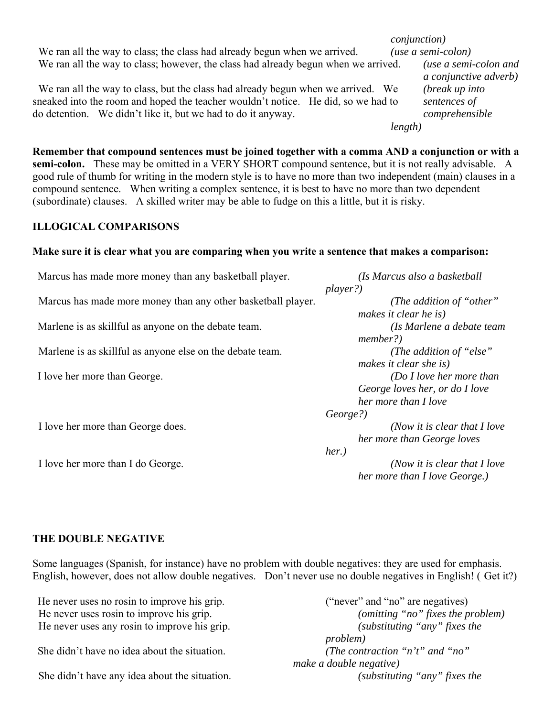|                                                                                                                                                                                                                                       | <i>conjunction</i> )                             |
|---------------------------------------------------------------------------------------------------------------------------------------------------------------------------------------------------------------------------------------|--------------------------------------------------|
| We ran all the way to class; the class had already begun when we arrived.                                                                                                                                                             | $(use a semi-colon)$                             |
| We ran all the way to class; however, the class had already begun when we arrived.                                                                                                                                                    | (use a semi-colon and<br>a conjunctive adverb)   |
| We ran all the way to class, but the class had already begun when we arrived. We<br>sneaked into the room and hoped the teacher wouldn't notice. He did, so we had to<br>do detention. We didn't like it, but we had to do it anyway. | (break up into<br>sentences of<br>comprehensible |
|                                                                                                                                                                                                                                       | length)                                          |
| Remember that compound sentences must be joined together with a comma AND a conjunction or with a                                                                                                                                     |                                                  |

**semi-colon.** These may be omitted in a VERY SHORT compound sentence, but it is not really advisable. A good rule of thumb for writing in the modern style is to have no more than two independent (main) clauses in a compound sentence. When writing a complex sentence, it is best to have no more than two dependent (subordinate) clauses. A skilled writer may be able to fudge on this a little, but it is risky.

### **ILLOGICAL COMPARISONS**

#### **Make sure it is clear what you are comparing when you write a sentence that makes a comparison:**

| Marcus has made more money than any basketball player.       | (Is Marcus also a basketball   |
|--------------------------------------------------------------|--------------------------------|
|                                                              | player?)                       |
| Marcus has made more money than any other basketball player. | (The addition of "other"       |
|                                                              | makes it clear he is)          |
| Marlene is as skillful as anyone on the debate team.         | (Is Marlene a debate team      |
|                                                              | member?)                       |
| Marlene is as skillful as anyone else on the debate team.    | (The addition of "else")       |
|                                                              | makes it clear she is)         |
| I love her more than George.                                 | ( $Do I love her more than$ )  |
|                                                              | George loves her, or do I love |
|                                                              | her more than I love           |
|                                                              | George?)                       |
| I love her more than George does.                            | (Now it is clear that $I$ love |
|                                                              | her more than George loves     |
|                                                              | $her.$ )                       |
| I love her more than I do George.                            | (Now it is clear that $I$ love |
|                                                              | her more than I love George.)  |

#### **THE DOUBLE NEGATIVE**

Some languages (Spanish, for instance) have no problem with double negatives: they are used for emphasis. English, however, does not allow double negatives. Don't never use no double negatives in English! ( Get it?)

| He never uses no rosin to improve his grip.   | ("never" and "no" are negatives)    |
|-----------------------------------------------|-------------------------------------|
| He never uses rosin to improve his grip.      | (omitting "no" fixes the problem)   |
| He never uses any rosin to improve his grip.  | (substituting "any" fixes the       |
|                                               | <i>problem</i> )                    |
| She didn't have no idea about the situation.  | (The contraction " $n't$ " and "no" |
|                                               | make a double negative)             |
| She didn't have any idea about the situation. | (substituting "any" fixes the       |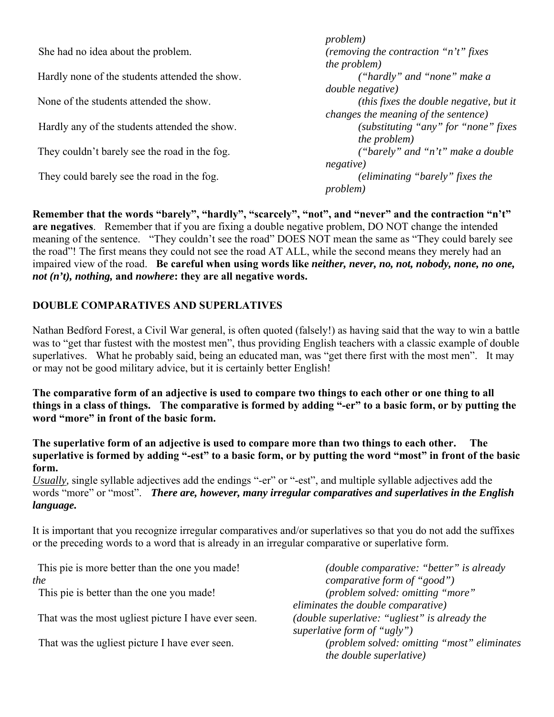|                                                | <i>problem</i> )                                        |
|------------------------------------------------|---------------------------------------------------------|
| She had no idea about the problem.             | (removing the contraction "n't" fixes                   |
|                                                | <i>the problem</i> )                                    |
| Hardly none of the students attended the show. | ("hardly" and "none" make a                             |
|                                                | <i>double negative</i> )                                |
| None of the students attended the show.        | ( <i>this fixes the double negative</i> , <i>but it</i> |
|                                                | changes the meaning of the sentence)                    |
| Hardly any of the students attended the show.  | (substituting "any" for "none" fixes                    |
|                                                | <i>the problem</i> )                                    |
| They couldn't barely see the road in the fog.  | ("barely" and "n't" make a double                       |
|                                                | negative)                                               |
| They could barely see the road in the fog.     | (eliminating "barely" fixes the                         |
|                                                | <i>problem</i> )                                        |
|                                                |                                                         |

**Remember that the words "barely", "hardly", "scarcely", "not", and "never" and the contraction "n't" are negatives**. Remember that if you are fixing a double negative problem, DO NOT change the intended meaning of the sentence. "They couldn't see the road" DOES NOT mean the same as "They could barely see the road"! The first means they could not see the road AT ALL, while the second means they merely had an impaired view of the road. **Be careful when using words like** *neither, never, no, not, nobody, none, no one, not (n't), nothing,* **and** *nowhere***: they are all negative words.**

# **DOUBLE COMPARATIVES AND SUPERLATIVES**

Nathan Bedford Forest, a Civil War general, is often quoted (falsely!) as having said that the way to win a battle was to "get thar fustest with the mostest men", thus providing English teachers with a classic example of double superlatives. What he probably said, being an educated man, was "get there first with the most men". It may or may not be good military advice, but it is certainly better English!

**The comparative form of an adjective is used to compare two things to each other or one thing to all things in a class of things. The comparative is formed by adding "-er" to a basic form, or by putting the word "more" in front of the basic form.** 

**The superlative form of an adjective is used to compare more than two things to each other. The superlative is formed by adding "-est" to a basic form, or by putting the word "most" in front of the basic form.** 

*Usually,* single syllable adjectives add the endings "-er" or "-est", and multiple syllable adjectives add the words "more" or "most".*There are, however, many irregular comparatives and superlatives in the English language.*

It is important that you recognize irregular comparatives and/or superlatives so that you do not add the suffixes or the preceding words to a word that is already in an irregular comparative or superlative form.

| This pie is more better than the one you made!      | <i>(double comparative: "better" is already</i> |
|-----------------------------------------------------|-------------------------------------------------|
| the                                                 | comparative form of "good")                     |
| This pie is better than the one you made!           | (problem solved: omitting "more"                |
|                                                     | eliminates the double comparative)              |
| That was the most ugliest picture I have ever seen. | (double superlative: "ugliest" is already the   |
|                                                     | superlative form of " $ugly"$ )                 |
| That was the ugliest picture I have ever seen.      | (problem solved: omitting "most" eliminates     |
|                                                     | <i>the double superlative)</i>                  |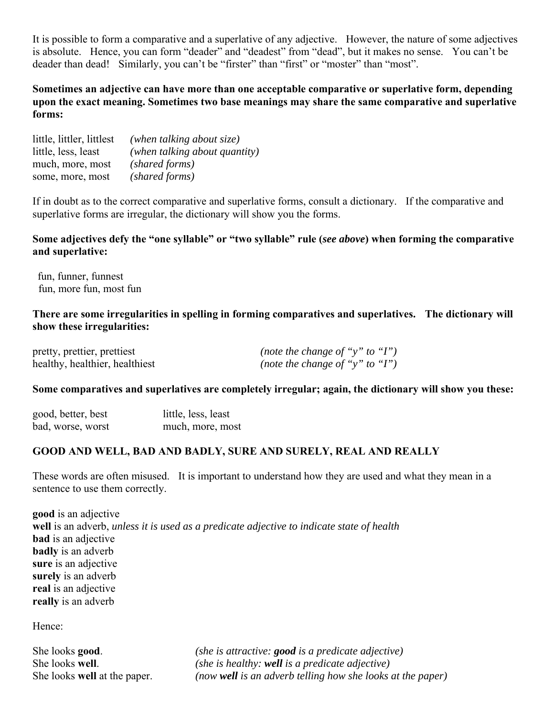It is possible to form a comparative and a superlative of any adjective. However, the nature of some adjectives is absolute. Hence, you can form "deader" and "deadest" from "dead", but it makes no sense. You can't be deader than dead! Similarly, you can't be "firster" than "first" or "moster" than "most".

**Sometimes an adjective can have more than one acceptable comparative or superlative form, depending upon the exact meaning. Sometimes two base meanings may share the same comparative and superlative forms:**

| little, littler, littlest | (when talking about size)     |
|---------------------------|-------------------------------|
| little, less, least       | (when talking about quantity) |
| much, more, most          | (shared forms)                |
| some, more, most          | (shared forms)                |

If in doubt as to the correct comparative and superlative forms, consult a dictionary. If the comparative and superlative forms are irregular, the dictionary will show you the forms.

# **Some adjectives defy the "one syllable" or "two syllable" rule (***see above***) when forming the comparative and superlative:**

fun, funner, funnest fun, more fun, most fun

### **There are some irregularities in spelling in forming comparatives and superlatives. The dictionary will show these irregularities:**

| pretty, prettier, prettiest    | (note the change of "y" to "I") |
|--------------------------------|---------------------------------|
| healthy, healthier, healthiest | (note the change of "y" to "I") |

#### **Some comparatives and superlatives are completely irregular; again, the dictionary will show you these:**

| good, better, best | little, less, least |
|--------------------|---------------------|
| bad, worse, worst  | much, more, most    |

#### **GOOD AND WELL, BAD AND BADLY, SURE AND SURELY, REAL AND REALLY**

These words are often misused. It is important to understand how they are used and what they mean in a sentence to use them correctly.

**good** is an adjective **well** is an adverb, *unless it is used as a predicate adjective to indicate state of health* **bad** is an adjective **badly** is an adverb **sure** is an adjective **surely** is an adverb **real** is an adjective **really** is an adverb

Hence:

She looks **good**. *(she is attractive: good is a predicate adjective)* She looks **well**. *(she is healthy: well is a predicate adjective)* She looks **well** at the paper. *(now well is an adverb telling how she looks at the paper)*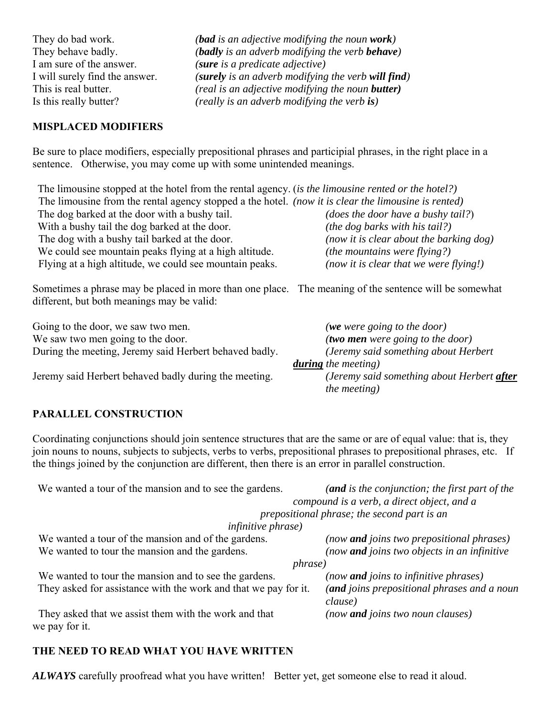They do bad work. *(bad is an adjective modifying the noun work)* They behave badly. *(badly is an adverb modifying the verb behave)* I am sure of the answer. *(sure is a predicate adjective)* I will surely find the answer. *(surely is an adverb modifying the verb will find)* This is real butter. *(real is an adjective modifying the noun butter)* Is this really butter? *(really is an adverb modifying the verb is)*

# **MISPLACED MODIFIERS**

Be sure to place modifiers, especially prepositional phrases and participial phrases, in the right place in a sentence. Otherwise, you may come up with some unintended meanings.

The limousine stopped at the hotel from the rental agency. (*is the limousine rented or the hotel?)* The limousine from the rental agency stopped a the hotel. *(now it is clear the limousine is rented)* The dog barked at the door with a bushy tail. *(does the door have a bushy tail?)* With a bushy tail the dog barked at the door. *(the dog barks with his tail?)* The dog with a bushy tail barked at the door. *(now it is clear about the barking dog)* We could see mountain peaks flying at a high altitude. *(the mountains were flying?)* Flying at a high altitude, we could see mountain peaks. *(now it is clear that we were flying!)*

Sometimes a phrase may be placed in more than one place. The meaning of the sentence will be somewhat different, but both meanings may be valid:

Going to the door, we saw two men. *(we were going to the door)* We saw two men going to the door. *(two men were going to the door)* During the meeting, Jeremy said Herbert behaved badly. *(Jeremy said something about Herbert* 

Jeremy said Herbert behaved badly during the meeting. *(Jeremy said something about Herbert after*

 *during the meeting) the meeting)*

#### **PARALLEL CONSTRUCTION**

Coordinating conjunctions should join sentence structures that are the same or are of equal value: that is, they join nouns to nouns, subjects to subjects, verbs to verbs, prepositional phrases to prepositional phrases, etc. If the things joined by the conjunction are different, then there is an error in parallel construction.

| (and is the conjunction; the first part of the<br>compound is a verb, a direct object, and a                              |
|---------------------------------------------------------------------------------------------------------------------------|
| prepositional phrase; the second part is an                                                                               |
| <i>infinitive phrase</i> )                                                                                                |
| (now <b>and</b> joins two prepositional phrases)                                                                          |
| (now and joins two objects in an infinitive                                                                               |
| <i>phrase</i> )                                                                                                           |
| (now <b>and</b> joins to infinitive phrases)                                                                              |
| They asked for assistance with the work and that we pay for it.<br>(and joins prepositional phrases and a noun<br>clause) |
| (now <b>and</b> joins two noun clauses)                                                                                   |
|                                                                                                                           |

# **THE NEED TO READ WHAT YOU HAVE WRITTEN**

*ALWAYS* carefully proofread what you have written! Better yet, get someone else to read it aloud.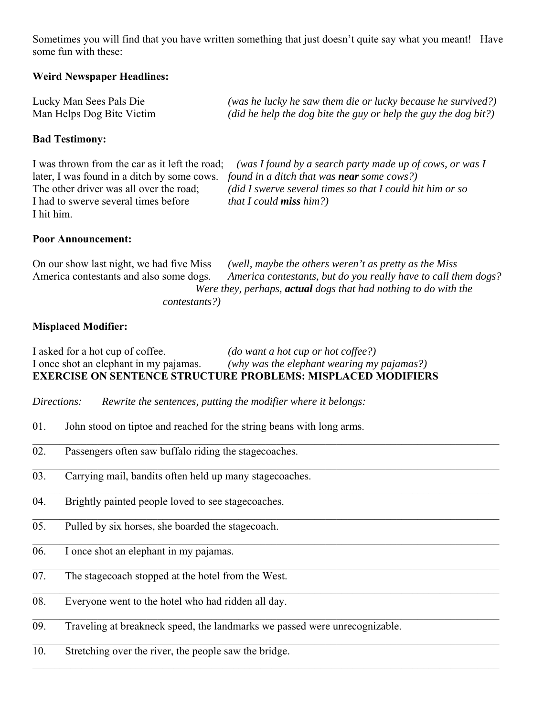Sometimes you will find that you have written something that just doesn't quite say what you meant! Have some fun with these:

### **Weird Newspaper Headlines:**

| Lucky Man Sees Pals Die   | (was he lucky he saw them die or lucky because he survived?)    |
|---------------------------|-----------------------------------------------------------------|
| Man Helps Dog Bite Victim | (did he help the dog bite the guy or help the guy the dog bit?) |

### **Bad Testimony:**

I was thrown from the car as it left the road; *(was I found by a search party made up of cows, or was I* later, I was found in a ditch by some cows. *found in a ditch that was near some cows?)* The other driver was all over the road; *(did I swerve several times so that I could hit him or so* I had to swerve several times before *that I could miss him?)* I hit him.

#### **Poor Announcement:**

| On our show last night, we had five Miss                               | (well, maybe the others weren't as pretty as the Miss          |  |  |
|------------------------------------------------------------------------|----------------------------------------------------------------|--|--|
| America contestants and also some dogs.                                | America contestants, but do you really have to call them dogs? |  |  |
| Were they, perhaps, <b>actual</b> dogs that had nothing to do with the |                                                                |  |  |
| contestants?)                                                          |                                                                |  |  |

 $\_$  , and the set of the set of the set of the set of the set of the set of the set of the set of the set of the set of the set of the set of the set of the set of the set of the set of the set of the set of the set of th

 $\_$  , and the set of the set of the set of the set of the set of the set of the set of the set of the set of the set of the set of the set of the set of the set of the set of the set of the set of the set of the set of th

### **Misplaced Modifier:**

I asked for a hot cup of coffee. *(do want a hot cup or hot coffee?)* I once shot an elephant in my pajamas. *(why was the elephant wearing my pajamas?)* **EXERCISE ON SENTENCE STRUCTURE PROBLEMS: MISPLACED MODIFIERS**

- *Directions: Rewrite the sentences, putting the modifier where it belongs:*
- 01. John stood on tiptoe and reached for the string beans with long arms.
- 02. Passengers often saw buffalo riding the stagecoaches.
- 03. Carrying mail, bandits often held up many stagecoaches.
- 04. Brightly painted people loved to see stagecoaches.
- 05. Pulled by six horses, she boarded the stagecoach.
- 06. I once shot an elephant in my pajamas.
- 07. The stagecoach stopped at the hotel from the West.
- 08. Everyone went to the hotel who had ridden all day.
- 09. Traveling at breakneck speed, the landmarks we passed were unrecognizable.
- 10. Stretching over the river, the people saw the bridge.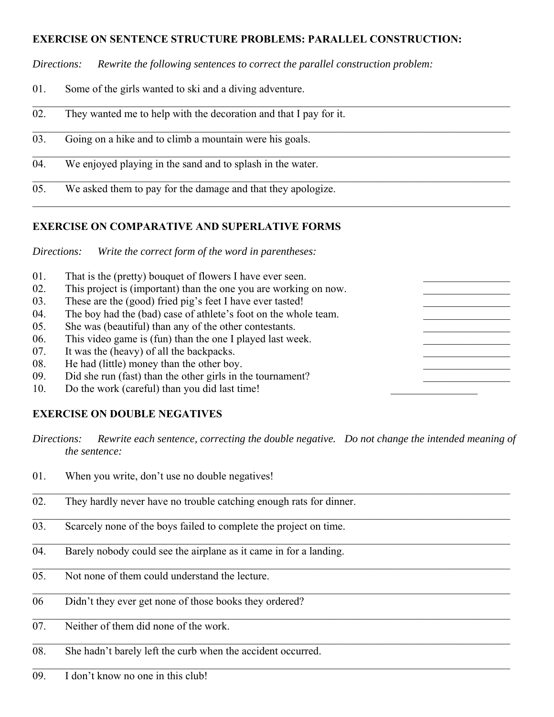# **EXERCISE ON SENTENCE STRUCTURE PROBLEMS: PARALLEL CONSTRUCTION:**

*Directions: Rewrite the following sentences to correct the parallel construction problem:*

- 01. Some of the girls wanted to ski and a diving adventure.
- 02. They wanted me to help with the decoration and that I pay for it.
- 03. Going on a hike and to climb a mountain were his goals.
- 04. We enjoyed playing in the sand and to splash in the water.
- 05. We asked them to pay for the damage and that they apologize.

# **EXERCISE ON COMPARATIVE AND SUPERLATIVE FORMS**

*Directions: Write the correct form of the word in parentheses:*

01. That is the (pretty) bouquet of flowers I have ever seen. 02. This project is (important) than the one you are working on now. 03. These are the (good) fried pig's feet I have ever tasted! 04. The boy had the (bad) case of athlete's foot on the whole team. 05. She was (beautiful) than any of the other contestants. 06. This video game is (fun) than the one I played last week. 07. It was the (heavy) of all the backpacks. 08. He had (little) money than the other boy. 09. Did she run (fast) than the other girls in the tournament? 10. Do the work (careful) than you did last time!

# **EXERCISE ON DOUBLE NEGATIVES**

*Directions: Rewrite each sentence, correcting the double negative. Do not change the intended meaning of the sentence:*

 $\_$  , and the set of the set of the set of the set of the set of the set of the set of the set of the set of the set of the set of the set of the set of the set of the set of the set of the set of the set of the set of th

- 01. When you write, don't use no double negatives!
- 02. They hardly never have no trouble catching enough rats for dinner.
- 03. Scarcely none of the boys failed to complete the project on time.
- 04. Barely nobody could see the airplane as it came in for a landing.
- 05. Not none of them could understand the lecture.
- 06 Didn't they ever get none of those books they ordered?
- $\overline{07}$  Neither of them did none of the work.
- 08. She hadn't barely left the curb when the accident occurred.
- 09. I don't know no one in this club!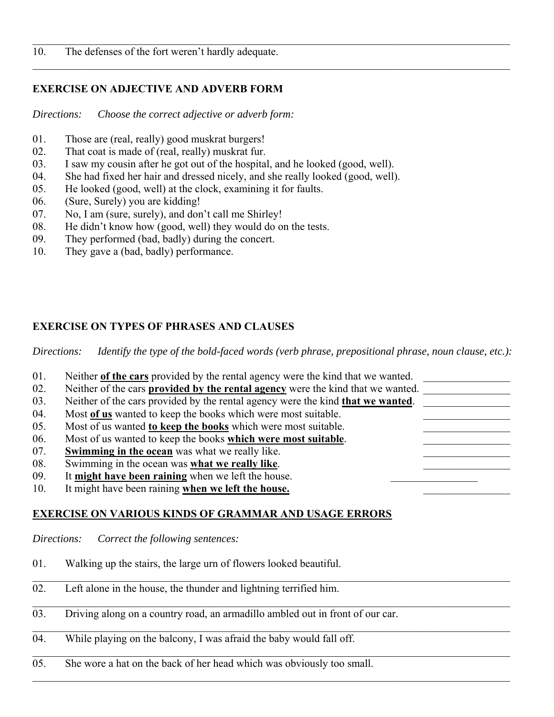# **EXERCISE ON ADJECTIVE AND ADVERB FORM**

*Directions: Choose the correct adjective or adverb form:*

- 01. Those are (real, really) good muskrat burgers!
- 02. That coat is made of (real, really) muskrat fur.
- 03. I saw my cousin after he got out of the hospital, and he looked (good, well).
- 04. She had fixed her hair and dressed nicely, and she really looked (good, well).
- 05. He looked (good, well) at the clock, examining it for faults.
- 06. (Sure, Surely) you are kidding!
- 07. No, I am (sure, surely), and don't call me Shirley!
- 08. He didn't know how (good, well) they would do on the tests.
- 09. They performed (bad, badly) during the concert.
- 10. They gave a (bad, badly) performance.

# **EXERCISE ON TYPES OF PHRASES AND CLAUSES**

*Directions: Identify the type of the bold-faced words (verb phrase, prepositional phrase, noun clause, etc.):*

| 01.         | Neither of the cars provided by the rental agency were the kind that we wanted.         |
|-------------|-----------------------------------------------------------------------------------------|
| 02.         | Neither of the cars provided by the rental agency were the kind that we wanted.         |
| 03.         | Neither of the cars provided by the rental agency were the kind <b>that we wanted</b> . |
| 04.         | Most of us wanted to keep the books which were most suitable.                           |
| 05.         | Most of us wanted to keep the books which were most suitable.                           |
| 06.         | Most of us wanted to keep the books which were most suitable.                           |
| 07.         | <b>Swimming in the ocean</b> was what we really like.                                   |
| 08.         | Swimming in the ocean was what we really like.                                          |
| 09.         | It might have been raining when we left the house.                                      |
| 10.         | It might have been raining when we left the house.                                      |
|             |                                                                                         |
|             | <b>EXERCISE ON VARIOUS KINDS OF GRAMMAR AND USAGE ERRORS</b>                            |
|             |                                                                                         |
| Directions: | Correct the following sentences:                                                        |
|             |                                                                                         |
| 01.         | Walking up the stairs, the large urn of flowers looked beautiful.                       |
|             |                                                                                         |
| 02.         | Left alone in the house, the thunder and lightning terrified him.                       |
|             |                                                                                         |
| 03.         | Driving along on a country road, an armadillo ambled out in front of our car.           |
|             |                                                                                         |
| 04.         | While playing on the balcony, I was afraid the baby would fall off.                     |
|             |                                                                                         |
| 05.         | She wore a hat on the back of her head which was obviously too small.                   |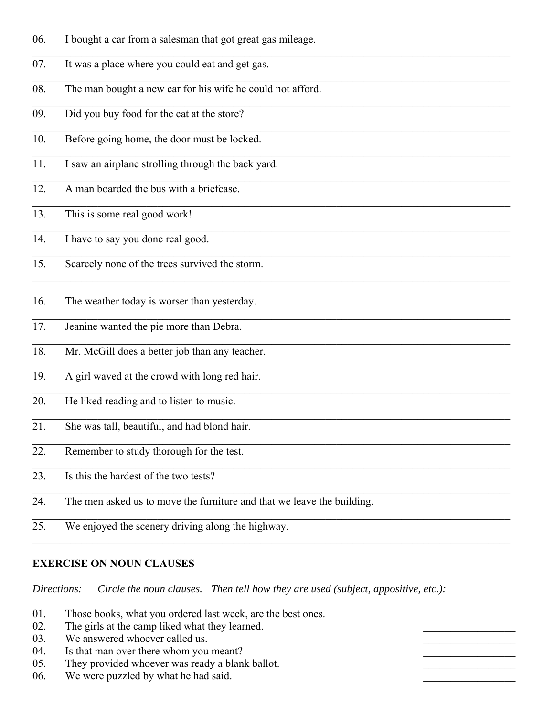- 06. I bought a car from a salesman that got great gas mileage.
- 07. It was a place where you could eat and get gas.
- 08. The man bought a new car for his wife he could not afford.
- 09. Did you buy food for the cat at the store?
- 10. Before going home, the door must be locked.
- 11. I saw an airplane strolling through the back yard.
- 12. A man boarded the bus with a briefcase.
- 13. This is some real good work!
- 14. I have to say you done real good.
- 15. Scarcely none of the trees survived the storm.
- 16. The weather today is worser than yesterday.
- 17. Jeanine wanted the pie more than Debra.
- 18. Mr. McGill does a better job than any teacher.
- 19. A girl waved at the crowd with long red hair.
- 20. He liked reading and to listen to music.
- 21. She was tall, beautiful, and had blond hair.
- 22. Remember to study thorough for the test.
- 23. Is this the hardest of the two tests?
- 24. The men asked us to move the furniture and that we leave the building.
- 25. We enjoyed the scenery driving along the highway.

#### **EXERCISE ON NOUN CLAUSES**

*Directions: Circle the noun clauses. Then tell how they are used (subject, appositive, etc.):*

01. Those books, what you ordered last week, are the best ones. 02. The girls at the camp liked what they learned. 03. We answered whoever called us. 04. Is that man over there whom you meant? 05. They provided whoever was ready a blank ballot. 06. We were puzzled by what he had said.

 $\_$  , and the set of the set of the set of the set of the set of the set of the set of the set of the set of the set of the set of the set of the set of the set of the set of the set of the set of the set of the set of th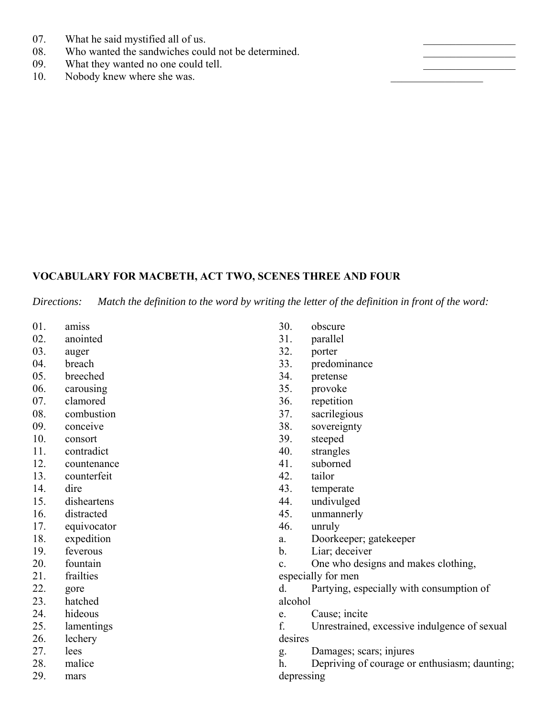- 07. What he said mystified all of us.
- 08. Who wanted the sandwiches could not be determined.
- 09. What they wanted no one could tell.
- 10. Nobody knew where she was.

# **VOCABULARY FOR MACBETH, ACT TWO, SCENES THREE AND FOUR**

*Directions: Match the definition to the word by writing the letter of the definition in front of the word:*

- 01. amiss
- 02. anointed
- 03. auger
- 04. breach
- 05. breeched
- 06. carousing
- 07. clamored
- 08. combustion
- 09. conceive
- 10. consort
- 11. contradict
- 12. countenance
- 13. counterfeit
- 14. dire
- 15. disheartens
- 16. distracted
- 17. equivocator
- 18. expedition
- 19. feverous
- 20. fountain
- 21. frailties
- 22. gore
- 23. hatched
- 24. hideous
- 25. lamentings
- 26. lechery
- 27. lees
- 28. malice
- 29. mars
- 30. obscure
- 31. parallel
- 32. porter
- 33. predominance
- 34. pretense
- 35. provoke
- 36. repetition
- 37. sacrilegious
- 38. sovereignty
- 39. steeped
- 40. strangles
- 41. suborned
- 42. tailor
- 43. temperate
- 44. undivulged
- 45. unmannerly
- 46. unruly
- a. Doorkeeper; gatekeeper
- b. Liar; deceiver
- c. One who designs and makes clothing,
- especially for men

d. Partying, especially with consumption of alcohol

- e. Cause; incite
- f. Unrestrained, excessive indulgence of sexual desires
- g. Damages; scars; injures

h. Depriving of courage or enthusiasm; daunting; depressing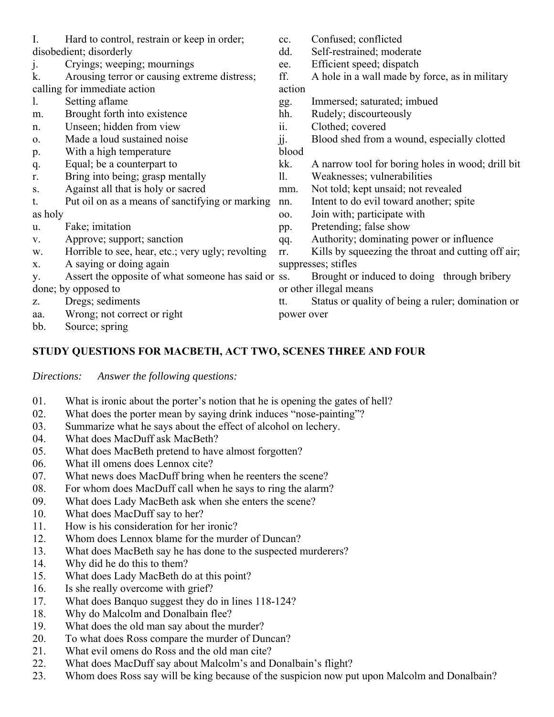| I.          | Hard to control, restrain or keep in order;         | cc.        | Confused; conflicted                               |
|-------------|-----------------------------------------------------|------------|----------------------------------------------------|
|             | disobedient; disorderly                             | dd.        | Self-restrained; moderate                          |
| j.          | Cryings; weeping; mournings                         | ee.        | Efficient speed; dispatch                          |
| k.          | Arousing terror or causing extreme distress;        | ff.        | A hole in a wall made by force, as in military     |
|             | calling for immediate action                        | action     |                                                    |
| 1.          | Setting aflame                                      | gg.        | Immersed; saturated; imbued                        |
| m.          | Brought forth into existence                        | hh.        | Rudely; discourteously                             |
| n.          | Unseen; hidden from view                            | ii.        | Clothed; covered                                   |
| 0.          | Made a loud sustained noise                         | jj.        | Blood shed from a wound, especially clotted        |
| p.          | With a high temperature                             | blood      |                                                    |
| q.          | Equal; be a counterpart to                          | kk.        | A narrow tool for boring holes in wood; drill bit  |
| r.          | Bring into being; grasp mentally                    | 11.        | Weaknesses; vulnerabilities                        |
| ${\bf S}$ . | Against all that is holy or sacred                  | mm.        | Not told; kept unsaid; not revealed                |
| t.          | Put oil on as a means of sanctifying or marking     | nn.        | Intent to do evil toward another; spite            |
| as holy     |                                                     | 00.        | Join with; participate with                        |
| u.          | Fake; imitation                                     | pp.        | Pretending; false show                             |
| V.          | Approve; support; sanction                          | qq.        | Authority; dominating power or influence           |
| w.          | Horrible to see, hear, etc.; very ugly; revolting   | rr.        | Kills by squeezing the throat and cutting off air; |
| X.          | A saying or doing again                             |            | suppresses; stifles                                |
| y.          | Assert the opposite of what someone has said or ss. |            | Brought or induced to doing through bribery        |
|             | done; by opposed to                                 |            | or other illegal means                             |
| Z.          | Dregs; sediments                                    | tt.        | Status or quality of being a ruler; domination or  |
| aa.         | Wrong; not correct or right                         | power over |                                                    |
| bb.         | Source; spring                                      |            |                                                    |

### **STUDY QUESTIONS FOR MACBETH, ACT TWO, SCENES THREE AND FOUR**

*Directions: Answer the following questions:*

- 01. What is ironic about the porter's notion that he is opening the gates of hell?
- 02. What does the porter mean by saying drink induces "nose-painting"?
- 03. Summarize what he says about the effect of alcohol on lechery.
- 04. What does MacDuff ask MacBeth?
- 05. What does MacBeth pretend to have almost forgotten?
- 06. What ill omens does Lennox cite?
- 07. What news does MacDuff bring when he reenters the scene?
- 08. For whom does MacDuff call when he says to ring the alarm?
- 09. What does Lady MacBeth ask when she enters the scene?
- 10. What does MacDuff say to her?
- 11. How is his consideration for her ironic?
- 12. Whom does Lennox blame for the murder of Duncan?
- 13. What does MacBeth say he has done to the suspected murderers?
- 14. Why did he do this to them?
- 15. What does Lady MacBeth do at this point?
- 16. Is she really overcome with grief?
- 17. What does Banquo suggest they do in lines 118-124?
- 18. Why do Malcolm and Donalbain flee?
- 19. What does the old man say about the murder?
- 20. To what does Ross compare the murder of Duncan?
- 21. What evil omens do Ross and the old man cite?
- 22. What does MacDuff say about Malcolm's and Donalbain's flight?
- 23. Whom does Ross say will be king because of the suspicion now put upon Malcolm and Donalbain?